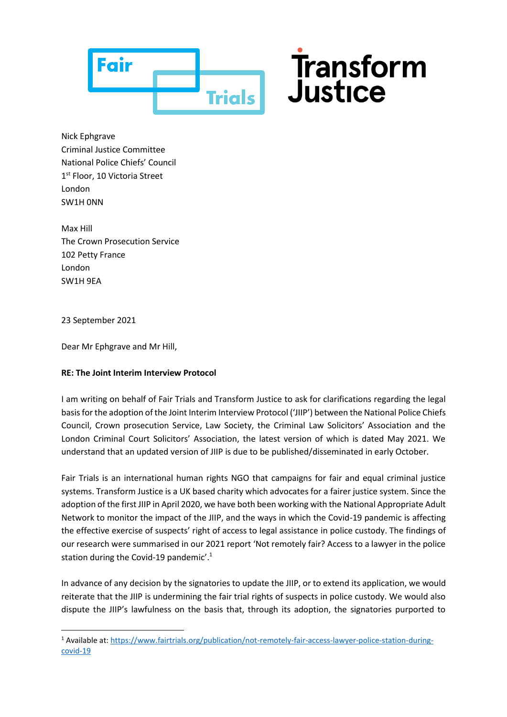

Nick Ephgrave Criminal Justice Committee National Police Chiefs' Council 1 st Floor, 10 Victoria Street London SW1H 0NN

Max Hill The Crown Prosecution Service 102 Petty France London SW1H 9EA

23 September 2021

Dear Mr Ephgrave and Mr Hill,

## **RE: The Joint Interim Interview Protocol**

I am writing on behalf of Fair Trials and Transform Justice to ask for clarifications regarding the legal basis for the adoption of the Joint Interim Interview Protocol ('JIIP') between the National Police Chiefs Council, Crown prosecution Service, Law Society, the Criminal Law Solicitors' Association and the London Criminal Court Solicitors' Association, the latest version of which is dated May 2021. We understand that an updated version of JIIP is due to be published/disseminated in early October.

Fair Trials is an international human rights NGO that campaigns for fair and equal criminal justice systems. Transform Justice is a UK based charity which advocates for a fairer justice system. Since the adoption of the first JIIP in April 2020, we have both been working with the National Appropriate Adult Network to monitor the impact of the JIIP, and the ways in which the Covid-19 pandemic is affecting the effective exercise of suspects' right of access to legal assistance in police custody. The findings of our research were summarised in our 2021 report 'Not remotely fair? Access to a lawyer in the police station during the Covid-19 pandemic'.<sup>1</sup>

In advance of any decision by the signatories to update the JIIP, or to extend its application, we would reiterate that the JIIP is undermining the fair trial rights of suspects in police custody. We would also dispute the JIIP's lawfulness on the basis that, through its adoption, the signatories purported to

<sup>1</sup> Available at: [https://www.fairtrials.org/publication/not-remotely-fair-access-lawyer-police-station-during](https://www.fairtrials.org/publication/not-remotely-fair-access-lawyer-police-station-during-covid-19)[covid-19](https://www.fairtrials.org/publication/not-remotely-fair-access-lawyer-police-station-during-covid-19)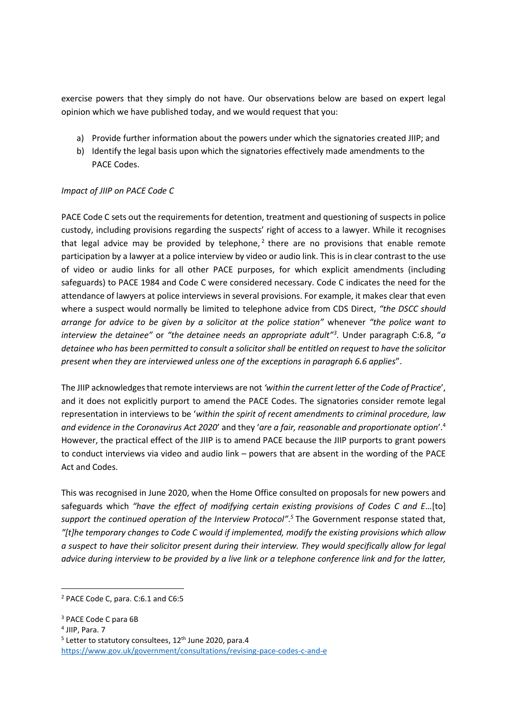exercise powers that they simply do not have. Our observations below are based on expert legal opinion which we have published today, and we would request that you:

- a) Provide further information about the powers under which the signatories created JIIP; and
- b) Identify the legal basis upon which the signatories effectively made amendments to the PACE Codes.

## *Impact of JIIP on PACE Code C*

PACE Code C sets out the requirements for detention, treatment and questioning of suspects in police custody, including provisions regarding the suspects' right of access to a lawyer. While it recognises that legal advice may be provided by telephone,<sup>2</sup> there are no provisions that enable remote participation by a lawyer at a police interview by video or audio link. This is in clear contrast to the use of video or audio links for all other PACE purposes, for which explicit amendments (including safeguards) to PACE 1984 and Code C were considered necessary. Code C indicates the need for the attendance of lawyers at police interviews in several provisions. For example, it makes clear that even where a suspect would normally be limited to telephone advice from CDS Direct, *"the DSCC should arrange for advice to be given by a solicitor at the police station"* whenever *"the police want to interview the detainee"* or *"the detainee needs an appropriate adult"<sup>3</sup> .* Under paragraph C:6.8, "*a detainee who has been permitted to consult a solicitor shall be entitled on request to have the solicitor present when they are interviewed unless one of the exceptions in paragraph 6.6 applies*".

The JIIP acknowledges that remote interviews are not *'within the current letter of the Code of Practice*', and it does not explicitly purport to amend the PACE Codes. The signatories consider remote legal representation in interviews to be '*within the spirit of recent amendments to criminal procedure, law and evidence in the Coronavirus Act 2020*' and they '*are a fair, reasonable and proportionate option*'.<sup>4</sup> However, the practical effect of the JIIP is to amend PACE because the JIIP purports to grant powers to conduct interviews via video and audio link – powers that are absent in the wording of the PACE Act and Codes.

This was recognised in June 2020, when the Home Office consulted on proposals for new powers and safeguards which *"have the effect of modifying certain existing provisions of Codes C and E…*[to] *support the continued operation of the Interview Protocol"*. *<sup>5</sup>* The Government response stated that, *"[t]he temporary changes to Code C would if implemented, modify the existing provisions which allow a suspect to have their solicitor present during their interview. They would specifically allow for legal advice during interview to be provided by a live link or a telephone conference link and for the latter,* 

<sup>2</sup> PACE Code C, para. C:6.1 and C6:5

<sup>3</sup> PACE Code C para 6B

<sup>4</sup> JIIP, Para. 7

<sup>&</sup>lt;sup>5</sup> Letter to statutory consultees, 12<sup>th</sup> June 2020, para.4 <https://www.gov.uk/government/consultations/revising-pace-codes-c-and-e>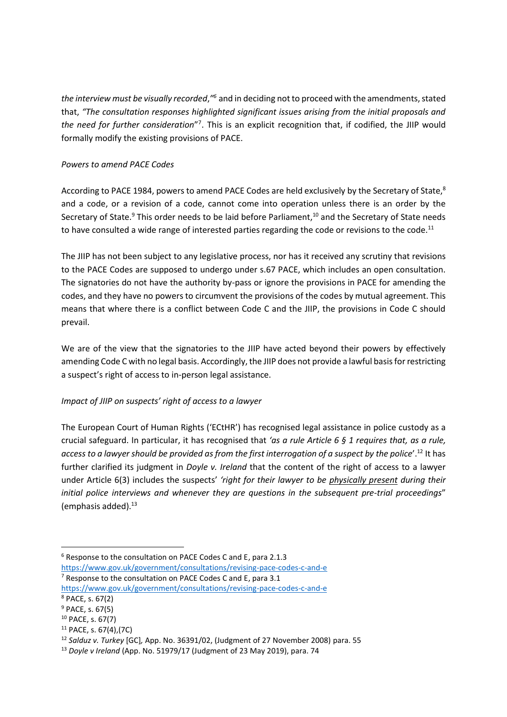*the interview must be visually recorded,"* and in deciding not to proceed with the amendments, stated that, *"The consultation responses highlighted significant issues arising from the initial proposals and the need for further consideration*"<sup>7</sup>. This is an explicit recognition that, if codified, the JIIP would formally modify the existing provisions of PACE.

## *Powers to amend PACE Codes*

According to PACE 1984, powers to amend PACE Codes are held exclusively by the Secretary of State,<sup>8</sup> and a code, or a revision of a code, cannot come into operation unless there is an order by the Secretary of State.<sup>9</sup> This order needs to be laid before Parliament,<sup>10</sup> and the Secretary of State needs to have consulted a wide range of interested parties regarding the code or revisions to the code.<sup>11</sup>

The JIIP has not been subject to any legislative process, nor has it received any scrutiny that revisions to the PACE Codes are supposed to undergo under s.67 PACE, which includes an open consultation. The signatories do not have the authority by-pass or ignore the provisions in PACE for amending the codes, and they have no powers to circumvent the provisions of the codes by mutual agreement. This means that where there is a conflict between Code C and the JIIP, the provisions in Code C should prevail.

We are of the view that the signatories to the JIIP have acted beyond their powers by effectively amending Code C with no legal basis. Accordingly, the JIIP does not provide a lawful basis for restricting a suspect's right of access to in-person legal assistance.

## *Impact of JIIP on suspects' right of access to a lawyer*

The European Court of Human Rights ('ECtHR') has recognised legal assistance in police custody as a crucial safeguard. In particular, it has recognised that *'as a rule Article 6 § 1 requires that, as a rule, access to a lawyer should be provided as from the first interrogation of a suspect by the police*'.<sup>12</sup> It has further clarified its judgment in *Doyle v. Ireland* that the content of the right of access to a lawyer under Article 6(3) includes the suspects' *'right for their lawyer to be physically present during their initial police interviews and whenever they are questions in the subsequent pre-trial proceedings*" (emphasis added). $^{13}$ 

<sup>6</sup> Response to the consultation on PACE Codes C and E, para 2.1.3

<https://www.gov.uk/government/consultations/revising-pace-codes-c-and-e> <sup>7</sup> Response to the consultation on PACE Codes C and E, para 3.1

<https://www.gov.uk/government/consultations/revising-pace-codes-c-and-e> <sup>8</sup> PACE, s. 67(2)

<sup>9</sup> PACE, s. 67(5)

<sup>10</sup> PACE, s. 67(7)

<sup>11</sup> PACE, s. 67(4),(7C)

<sup>12</sup> *Salduz v. Turkey* [GC]*,* App. No. 36391/02, (Judgment of 27 November 2008) para. 55

<sup>13</sup> *Doyle v Ireland* (App. No. 51979/17 (Judgment of 23 May 2019), para. 74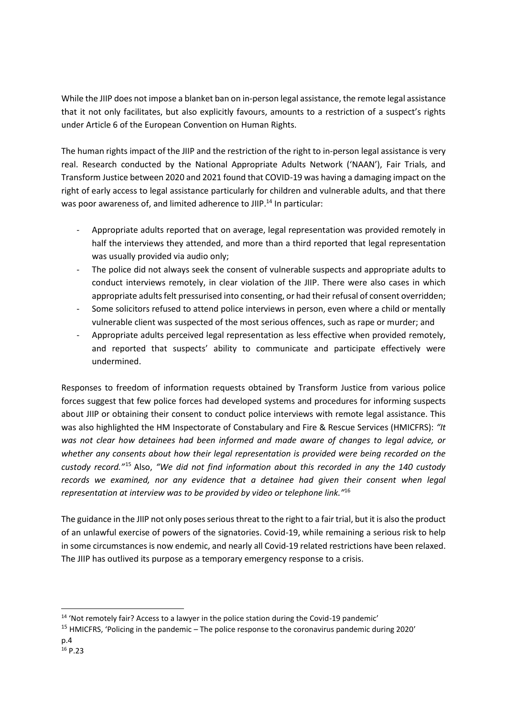While the JIIP does not impose a blanket ban on in-person legal assistance, the remote legal assistance that it not only facilitates, but also explicitly favours, amounts to a restriction of a suspect's rights under Article 6 of the European Convention on Human Rights.

The human rights impact of the JIIP and the restriction of the right to in-person legal assistance is very real. Research conducted by the National Appropriate Adults Network ('NAAN'), Fair Trials, and Transform Justice between 2020 and 2021 found that COVID-19 was having a damaging impact on the right of early access to legal assistance particularly for children and vulnerable adults, and that there was poor awareness of, and limited adherence to JIIP.<sup>14</sup> In particular:

- Appropriate adults reported that on average, legal representation was provided remotely in half the interviews they attended, and more than a third reported that legal representation was usually provided via audio only;
- The police did not always seek the consent of vulnerable suspects and appropriate adults to conduct interviews remotely, in clear violation of the JIIP. There were also cases in which appropriate adults felt pressurised into consenting, or had their refusal of consent overridden;
- Some solicitors refused to attend police interviews in person, even where a child or mentally vulnerable client was suspected of the most serious offences, such as rape or murder; and
- Appropriate adults perceived legal representation as less effective when provided remotely, and reported that suspects' ability to communicate and participate effectively were undermined.

Responses to freedom of information requests obtained by Transform Justice from various police forces suggest that few police forces had developed systems and procedures for informing suspects about JIIP or obtaining their consent to conduct police interviews with remote legal assistance. This was also highlighted the HM Inspectorate of Constabulary and Fire & Rescue Services (HMICFRS): *"It was not clear how detainees had been informed and made aware of changes to legal advice, or whether any consents about how their legal representation is provided were being recorded on the custody record."*<sup>15</sup> Also, *"We did not find information about this recorded in any the 140 custody records we examined, nor any evidence that a detainee had given their consent when legal representation at interview was to be provided by video or telephone link."*<sup>16</sup>

The guidance in the JIIP not only poses serious threat to the right to a fair trial, but it is also the product of an unlawful exercise of powers of the signatories. Covid-19, while remaining a serious risk to help in some circumstances is now endemic, and nearly all Covid-19 related restrictions have been relaxed. The JIIP has outlived its purpose as a temporary emergency response to a crisis.

<sup>&</sup>lt;sup>14</sup> 'Not remotely fair? Access to a lawyer in the police station during the Covid-19 pandemic'

<sup>&</sup>lt;sup>15</sup> HMICFRS, 'Policing in the pandemic – The police response to the coronavirus pandemic during 2020'

p.4 <sup>16</sup> P.23